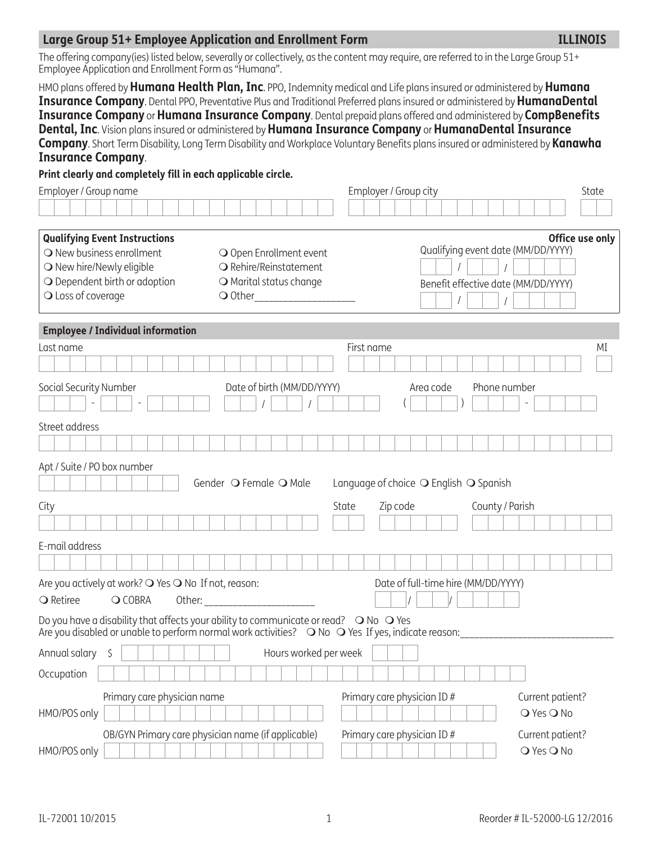## **Large Group 51+ Employee Application and Enrollment Form ILLINOIS**

The offering company(ies) listed below, severally or collectively, as the content may require, are referred to in the Large Group 51+ Employee Application and Enrollment Form as "Humana".

HMO plans offered by **Humana Health Plan, Inc**. PPO, Indemnity medical and Life plans insured or administered by **Humana Insurance Company**. Dental PPO, Preventative Plus and Traditional Preferred plans insured or administered by **HumanaDental Insurance Company** or **Humana Insurance Company**. Dental prepaid plans offered and administered by **CompBenefits Dental, Inc**. Vision plans insured or administered by **Humana Insurance Company** or **HumanaDental Insurance Company**. Short Term Disability, Long Term Disability and Workplace Voluntary Benefits plans insured or administered by **Kanawha Insurance Company**.

**Print clearly and completely fill in each applicable circle.**

| Employer / Group name                                                                                                                                                                                        |                                                   | Employer / Group city                                    | State            |
|--------------------------------------------------------------------------------------------------------------------------------------------------------------------------------------------------------------|---------------------------------------------------|----------------------------------------------------------|------------------|
|                                                                                                                                                                                                              |                                                   |                                                          |                  |
| <b>Qualifying Event Instructions</b>                                                                                                                                                                         |                                                   |                                                          | Office use only  |
| O New business enrollment                                                                                                                                                                                    | O Open Enrollment event                           | Qualifying event date (MM/DD/YYYY)                       |                  |
| O New hire/Newly eligible<br>O Dependent birth or adoption                                                                                                                                                   | O Rehire/Reinstatement<br>O Marital status change |                                                          |                  |
| O Loss of coverage                                                                                                                                                                                           | O Other_______________________                    | Benefit effective date (MM/DD/YYYY)                      |                  |
|                                                                                                                                                                                                              |                                                   |                                                          |                  |
| <b>Employee / Individual information</b>                                                                                                                                                                     |                                                   |                                                          |                  |
| Last name                                                                                                                                                                                                    |                                                   | First name                                               | ΜI               |
|                                                                                                                                                                                                              |                                                   |                                                          |                  |
| Social Security Number                                                                                                                                                                                       | Date of birth (MM/DD/YYYY)                        | Phone number<br>Area code                                |                  |
|                                                                                                                                                                                                              |                                                   |                                                          |                  |
| Street address                                                                                                                                                                                               |                                                   |                                                          |                  |
|                                                                                                                                                                                                              |                                                   |                                                          |                  |
| Apt / Suite / PO box number                                                                                                                                                                                  |                                                   |                                                          |                  |
|                                                                                                                                                                                                              | Gender O Female O Male                            | Language of choice $\bigcirc$ English $\bigcirc$ Spanish |                  |
| City                                                                                                                                                                                                         |                                                   | Zip code<br>County / Parish<br>State                     |                  |
|                                                                                                                                                                                                              |                                                   |                                                          |                  |
| E-mail address                                                                                                                                                                                               |                                                   |                                                          |                  |
|                                                                                                                                                                                                              |                                                   |                                                          |                  |
| Are you actively at work? O Yes O No If not, reason:                                                                                                                                                         |                                                   | Date of full-time hire (MM/DD/YYYY)                      |                  |
| <b>○</b> Retiree<br>O COBRA                                                                                                                                                                                  |                                                   |                                                          |                  |
| Do you have a disability that affects your ability to communicate or read? $\bigcirc$ No $\bigcirc$ Yes<br>Are you disabled or unable to perform normal work activities? O No O Yes If yes, indicate reason: |                                                   |                                                          |                  |
| Annual salary<br>\$                                                                                                                                                                                          | Hours worked per week                             |                                                          |                  |
| Occupation                                                                                                                                                                                                   |                                                   |                                                          |                  |
| Primary care physician name                                                                                                                                                                                  |                                                   | Primary care physician ID#                               | Current patient? |
| HMO/POS only                                                                                                                                                                                                 |                                                   |                                                          | O Yes O No       |
| OB/GYN Primary care physician name (if applicable)                                                                                                                                                           |                                                   | Primary care physician ID #                              | Current patient? |
| HMO/POS only                                                                                                                                                                                                 |                                                   |                                                          | O Yes O No       |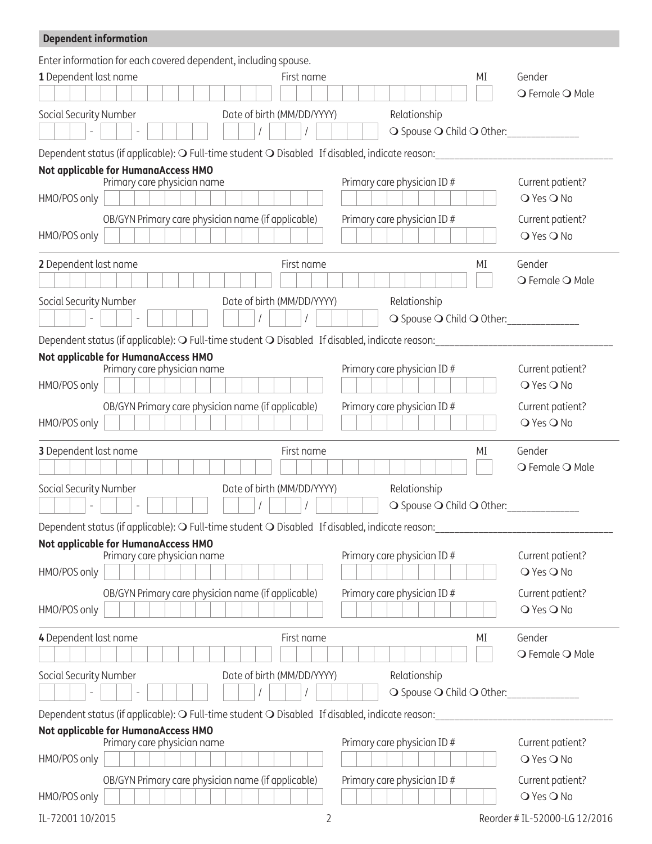| <b>Dependent information</b> |                                                                                                                              |                                |
|------------------------------|------------------------------------------------------------------------------------------------------------------------------|--------------------------------|
|                              | Enter information for each covered dependent, including spouse.                                                              |                                |
| 1 Dependent last name        | First name<br>ΜI                                                                                                             | Gender                         |
|                              |                                                                                                                              | ○ Female ○ Male                |
| Social Security Number       | Date of birth (MM/DD/YYYY)<br>Relationship                                                                                   |                                |
|                              | O Spouse O Child O Other: _____________                                                                                      |                                |
|                              | Dependent status (if applicable): $\mathbf{\circ}$ Full-time student $\mathbf{\circ}$ Disabled If disabled, indicate reason: |                                |
|                              | Not applicable for HumanaAccess HMO                                                                                          |                                |
|                              | Primary care physician name<br>Primary care physician ID #                                                                   | Current patient?               |
| HMO/POS only                 |                                                                                                                              | ○ Yes ○ No                     |
|                              | OB/GYN Primary care physician name (if applicable)<br>Primary care physician ID#                                             | Current patient?               |
| HMO/POS only                 |                                                                                                                              | ○ Yes ○ No                     |
| 2 Dependent last name        | First name<br>МI                                                                                                             | Gender                         |
|                              |                                                                                                                              | O Female O Male                |
| Social Security Number       | Date of birth (MM/DD/YYYY)<br>Relationship                                                                                   |                                |
|                              | O Spouse O Child O Other:                                                                                                    |                                |
|                              | Dependent status (if applicable): O Full-time student O Disabled If disabled, indicate reason:                               |                                |
|                              | Not applicable for HumanaAccess HMO                                                                                          |                                |
|                              | Primary care physician name<br>Primary care physician ID#                                                                    | Current patient?               |
| HMO/POS only                 |                                                                                                                              | O Yes O No                     |
|                              | OB/GYN Primary care physician name (if applicable)<br>Primary care physician ID#                                             | Current patient?               |
| HMO/POS only                 |                                                                                                                              | ○ Yes ○ No                     |
| 3 Dependent last name        | First name<br>ΜI                                                                                                             | Gender                         |
|                              |                                                                                                                              | ○ Female ○ Male                |
| Social Security Number       | Date of birth (MM/DD/YYYY)<br>Relationship                                                                                   |                                |
|                              | ○ Spouse ○ Child ○ Other:                                                                                                    |                                |
|                              | Dependent status (if applicable): O Full-time student O Disabled If disabled, indicate reason:                               |                                |
|                              | Not applicable for HumanaAccess HMO                                                                                          |                                |
| HMO/POS only                 | Primary care physician ID#<br>Primary care physician name                                                                    | Current patient?<br>O Yes O No |
|                              |                                                                                                                              |                                |
| HMO/POS only                 | OB/GYN Primary care physician name (if applicable)<br>Primary care physician ID#                                             | Current patient?<br>O Yes O No |
|                              |                                                                                                                              |                                |
| 4 Dependent last name        | First name<br>МI                                                                                                             | Gender                         |
|                              |                                                                                                                              | ○ Female ○ Male                |
| Social Security Number       | Date of birth (MM/DD/YYYY)<br>Relationship                                                                                   |                                |
|                              | O Spouse O Child O Other:                                                                                                    |                                |
|                              | Dependent status (if applicable): $\mathbf O$ Full-time student $\mathbf O$ Disabled If disabled, indicate reason:           |                                |
|                              | Not applicable for HumanaAccess HMO                                                                                          |                                |
|                              | Primary care physician ID#<br>Primary care physician name                                                                    | Current patient?<br>O Yes O No |
| HMO/POS only                 |                                                                                                                              |                                |
|                              | OB/GYN Primary care physician name (if applicable)<br>Primary care physician ID#                                             | Current patient?<br>O Yes O No |
| HMO/POS only                 |                                                                                                                              |                                |
| IL-72001 10/2015             | 2                                                                                                                            | Reorder # IL-52000-LG 12/2016  |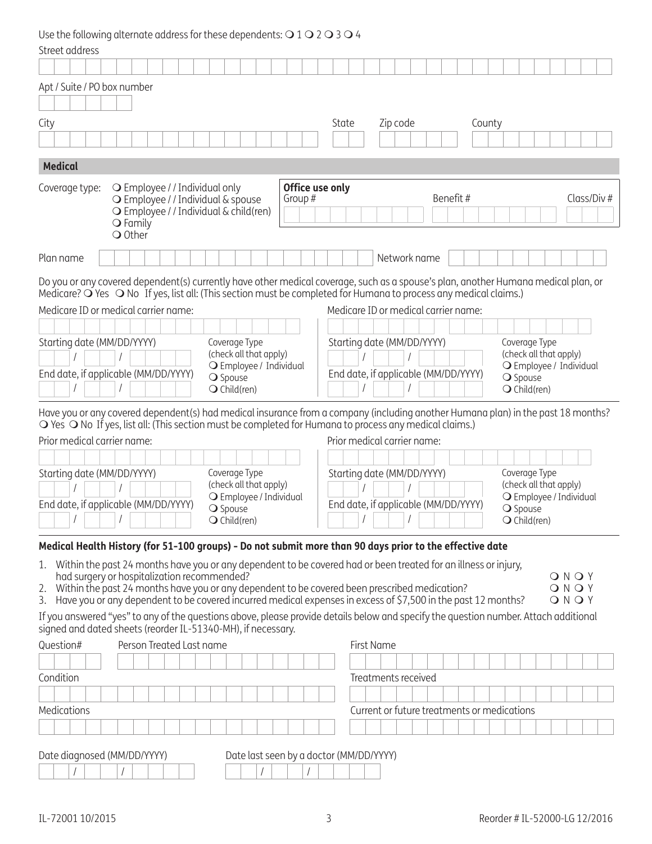Use the following alternate address for these dependents:  $O$  1  $O$  2  $O$  3  $O$  4

| Street address                                                                                                                                                                                                                              |                                                                       |
|---------------------------------------------------------------------------------------------------------------------------------------------------------------------------------------------------------------------------------------------|-----------------------------------------------------------------------|
|                                                                                                                                                                                                                                             |                                                                       |
| Apt / Suite / PO box number                                                                                                                                                                                                                 |                                                                       |
| City                                                                                                                                                                                                                                        | State<br>Zip code<br>County                                           |
|                                                                                                                                                                                                                                             |                                                                       |
| <b>Medical</b>                                                                                                                                                                                                                              |                                                                       |
| Office use only<br>O Employee / / Individual only<br>Coverage type:                                                                                                                                                                         |                                                                       |
| Group #<br>O Employee / / Individual & spouse<br>O Employee / / Individual & child(ren)<br>$\bigcirc$ Family                                                                                                                                | Benefit#<br>Class/Div#                                                |
| O Other<br>Plan name                                                                                                                                                                                                                        | Network name                                                          |
| Do you or any covered dependent(s) currently have other medical coverage, such as a spouse's plan, another Humana medical plan, or                                                                                                          |                                                                       |
| Medicare? O Yes O No If yes, list all: (This section must be completed for Humana to process any medical claims.)                                                                                                                           |                                                                       |
| Medicare ID or medical carrier name:                                                                                                                                                                                                        | Medicare ID or medical carrier name:                                  |
|                                                                                                                                                                                                                                             |                                                                       |
| Starting date (MM/DD/YYYY)<br>Coverage Type<br>(check all that apply)                                                                                                                                                                       | Starting date (MM/DD/YYYY)<br>Coverage Type<br>(check all that apply) |
| O Employee / Individual<br>End date, if applicable (MM/DD/YYYY)                                                                                                                                                                             | O Employee / Individual<br>End date, if applicable (MM/DD/YYYY)       |
| O Spouse<br>$\bigcirc$ Child(ren)                                                                                                                                                                                                           | ○ Spouse<br>$\bigcirc$ Child(ren)                                     |
|                                                                                                                                                                                                                                             |                                                                       |
| Have you or any covered dependent(s) had medical insurance from a company (including another Humana plan) in the past 18 months?<br>○ Yes ○ No If yes, list all: (This section must be completed for Humana to process any medical claims.) |                                                                       |
| Prior medical carrier name:                                                                                                                                                                                                                 | Prior medical carrier name:                                           |
|                                                                                                                                                                                                                                             |                                                                       |
| Starting date (MM/DD/YYYY)<br>Coverage Type                                                                                                                                                                                                 | Starting date (MM/DD/YYYY)<br>Coverage Type                           |
| (check all that apply)<br>O Employee / Individual                                                                                                                                                                                           | (check all that apply)<br>O Employee / Individual                     |
| End date, if applicable (MM/DD/YYYY)<br>○ Spouse                                                                                                                                                                                            | End date, if applicable (MM/DD/YYYY)<br>○ Spouse                      |
| $\bigcirc$ Child(ren)<br>$\mathbf{1}$ $\mathbf{1}$ $\mathbf{1}$ $\mathbf{1}$ $\mathbf{1}$                                                                                                                                                   | $\bigcirc$ Child(ren)                                                 |
| Medical Health History (for 51-100 groups) - Do not submit more than 90 days prior to the effective date                                                                                                                                    |                                                                       |
| Within the past 24 months have you or any dependent to be covered had or been treated for an illness or injury,<br>1.                                                                                                                       |                                                                       |
| had surgery or hospitalization recommended?<br>Within the past 24 months have you or any dependent to be covered been prescribed medication?<br>2.                                                                                          | ONOY<br>ONOY                                                          |
| Have you or any dependent to be covered incurred medical expenses in excess of \$7,500 in the past 12 months?<br>3.                                                                                                                         | ONOY                                                                  |
| If you answered "yes" to any of the questions above, please provide details below and specify the question number. Attach additional<br>signed and dated sheets (reorder IL-51340-MH), if necessary.                                        |                                                                       |
| Question#<br>Person Treated Last name                                                                                                                                                                                                       | First Name                                                            |
|                                                                                                                                                                                                                                             |                                                                       |
| Condition                                                                                                                                                                                                                                   | Treatments received                                                   |
|                                                                                                                                                                                                                                             |                                                                       |
| Medications                                                                                                                                                                                                                                 | Current or future treatments or medications                           |
|                                                                                                                                                                                                                                             |                                                                       |
| Date diagnosed (MM/DD/YYYY)<br>Date last seen by a doctor (MM/DD/YYYY)                                                                                                                                                                      |                                                                       |
|                                                                                                                                                                                                                                             |                                                                       |
|                                                                                                                                                                                                                                             |                                                                       |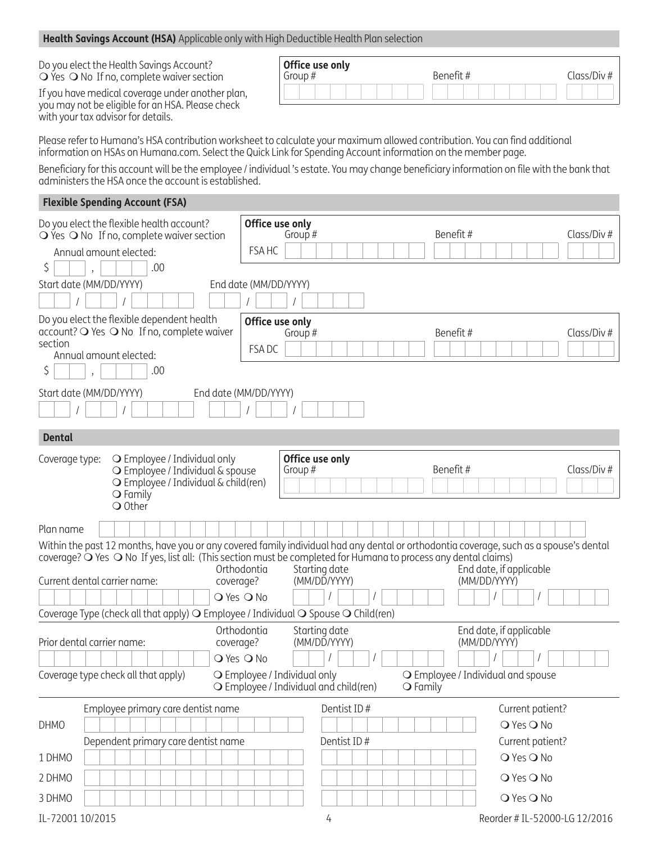#### **Health Savings Account (HSA)** Applicable only with High Deductible Health Plan selection

Do you elect the Health Savings Account?  $\bigcirc$  Yes  $\bigcirc$  No If no, complete waiver section

If you have medical coverage under another plan, you may not be eligible for an HSA. Please check with your tax advisor for details.

| Office use only<br>Group # | Benefit# | Class/Div# |
|----------------------------|----------|------------|
|                            |          |            |

Please refer to Humana's HSA contribution worksheet to calculate your maximum allowed contribution. You can find additional information on HSAs on Humana.com. Select the Quick Link for Spending Account information on the member page.

Beneficiary for this account will be the employee / individual 's estate. You may change beneficiary information on file with the bank that administers the HSA once the account is established.

#### **Flexible Spending Account (FSA)**

| Do you elect the flexible health account?<br>$\bigcirc$ Yes $\bigcirc$ No If no, complete waiver section<br>Annual amount elected:<br>\$                                                                                                                                                                    |                                     |                              |                              | .00 |  |                                  | Office use only<br>FSA HC                                              | Group#        |                 |  |                   |          | Benefit#                                |  |            |                               | Class/Div# |  |
|-------------------------------------------------------------------------------------------------------------------------------------------------------------------------------------------------------------------------------------------------------------------------------------------------------------|-------------------------------------|------------------------------|------------------------------|-----|--|----------------------------------|------------------------------------------------------------------------|---------------|-----------------|--|-------------------|----------|-----------------------------------------|--|------------|-------------------------------|------------|--|
| Start date (MM/DD/YYYY)                                                                                                                                                                                                                                                                                     |                                     |                              |                              |     |  |                                  | End date (MM/DD/YYYY)                                                  |               |                 |  |                   |          |                                         |  |            |                               |            |  |
|                                                                                                                                                                                                                                                                                                             |                                     |                              |                              |     |  |                                  |                                                                        |               |                 |  |                   |          |                                         |  |            |                               |            |  |
| Do you elect the flexible dependent health<br>account? O Yes O No If no, complete waiver<br>section<br>Annual amount elected:<br>Ş                                                                                                                                                                          |                                     |                              |                              | .00 |  |                                  | Office use only<br>FSA DC                                              | Group#        |                 |  |                   |          | Benefit#                                |  |            |                               | Class/Div# |  |
| Start date (MM/DD/YYYY)                                                                                                                                                                                                                                                                                     |                                     |                              |                              |     |  |                                  | End date (MM/DD/YYYY)                                                  |               |                 |  |                   |          |                                         |  |            |                               |            |  |
| <b>Dental</b>                                                                                                                                                                                                                                                                                               |                                     |                              |                              |     |  |                                  |                                                                        |               |                 |  |                   |          |                                         |  |            |                               |            |  |
| Coverage type:                                                                                                                                                                                                                                                                                              |                                     | $\bigcirc$ Family<br>O Other | O Employee / Individual only |     |  | O Employee / Individual & spouse | O Employee / Individual & child(ren)                                   | Group #       | Office use only |  |                   | Benefit# |                                         |  |            |                               | Class/Div# |  |
| Plan name                                                                                                                                                                                                                                                                                                   |                                     |                              |                              |     |  |                                  |                                                                        |               |                 |  |                   |          |                                         |  |            |                               |            |  |
| Within the past 12 months, have you or any covered family individual had any dental or orthodontia coverage, such as a spouse's dental<br>coverage? $\bigcirc$ Yes $\bigcirc$ No If yes, list all: (This section must be completed for Humana to process any dental claims)<br>Current dental carrier name: |                                     |                              |                              |     |  | coverage?                        | Orthodontia                                                            | Starting date | (MM/DD/YYYY)    |  |                   |          | End date, if applicable<br>(MM/DD/YYYY) |  |            |                               |            |  |
|                                                                                                                                                                                                                                                                                                             |                                     |                              |                              |     |  |                                  | O Yes O No                                                             |               |                 |  |                   |          |                                         |  |            |                               |            |  |
| Coverage Type (check all that apply) O Employee / Individual O Spouse O Child(ren)                                                                                                                                                                                                                          |                                     |                              |                              |     |  |                                  |                                                                        |               |                 |  |                   |          |                                         |  |            |                               |            |  |
| Prior dental carrier name:                                                                                                                                                                                                                                                                                  |                                     |                              |                              |     |  | coverage?                        | Orthodontia                                                            | Starting date | (MM/DD/YYYY)    |  |                   |          | End date, if applicable<br>(MM/DD/YYYY) |  |            |                               |            |  |
|                                                                                                                                                                                                                                                                                                             |                                     |                              |                              |     |  |                                  | O Yes O No                                                             |               |                 |  |                   |          |                                         |  |            |                               |            |  |
| Coverage type check all that apply)                                                                                                                                                                                                                                                                         |                                     |                              |                              |     |  |                                  | O Employee / Individual only<br>O Employee / Individual and child(ren) |               |                 |  | $\bigcirc$ Family |          | O Employee / Individual and spouse      |  |            |                               |            |  |
|                                                                                                                                                                                                                                                                                                             | Employee primary care dentist name  |                              |                              |     |  |                                  |                                                                        |               | Dentist ID#     |  |                   |          |                                         |  |            | Current patient?              |            |  |
| <b>DHMO</b>                                                                                                                                                                                                                                                                                                 |                                     |                              |                              |     |  |                                  |                                                                        |               |                 |  |                   |          |                                         |  | O Yes O No |                               |            |  |
|                                                                                                                                                                                                                                                                                                             | Dependent primary care dentist name |                              |                              |     |  |                                  |                                                                        |               | Dentist ID#     |  |                   |          |                                         |  |            | Current patient?              |            |  |
| 1 DHMO                                                                                                                                                                                                                                                                                                      |                                     |                              |                              |     |  |                                  |                                                                        |               |                 |  |                   |          |                                         |  | O Yes O No |                               |            |  |
| 2 DHMO                                                                                                                                                                                                                                                                                                      |                                     |                              |                              |     |  |                                  |                                                                        |               |                 |  |                   |          |                                         |  | O Yes O No |                               |            |  |
| 3 DHMO                                                                                                                                                                                                                                                                                                      |                                     |                              |                              |     |  |                                  |                                                                        |               |                 |  |                   |          |                                         |  | O Yes O No |                               |            |  |
| IL-72001 10/2015                                                                                                                                                                                                                                                                                            |                                     |                              |                              |     |  |                                  |                                                                        |               | 4               |  |                   |          |                                         |  |            | Reorder # IL-52000-LG 12/2016 |            |  |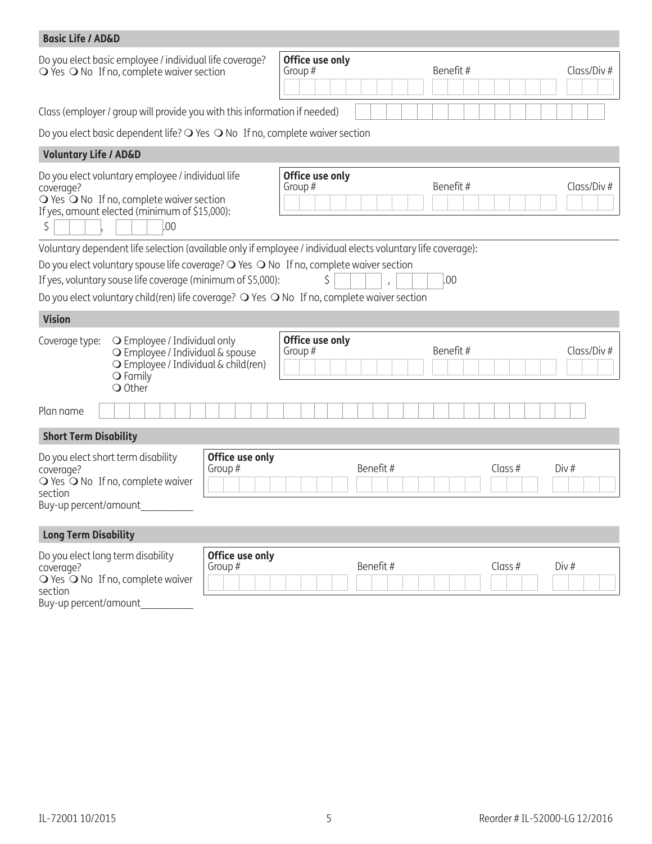| <b>Basic Life / AD&amp;D</b>                                                        |                                                                                                                                                        |                            |                                                                                                                                                                                                  |                  |
|-------------------------------------------------------------------------------------|--------------------------------------------------------------------------------------------------------------------------------------------------------|----------------------------|--------------------------------------------------------------------------------------------------------------------------------------------------------------------------------------------------|------------------|
|                                                                                     | Do you elect basic employee / individual life coverage?<br>$\overline{O}$ Yes $\overline{O}$ No If no, complete waiver section                         |                            | Office use only<br>Benefit#<br>Group #                                                                                                                                                           | Class/Div#       |
|                                                                                     | Class (employer / group will provide you with this information if needed)                                                                              |                            |                                                                                                                                                                                                  |                  |
|                                                                                     | Do you elect basic dependent life? O Yes O No If no, complete waiver section                                                                           |                            |                                                                                                                                                                                                  |                  |
| <b>Voluntary Life / AD&amp;D</b>                                                    |                                                                                                                                                        |                            |                                                                                                                                                                                                  |                  |
| coverage?<br>S                                                                      | Do you elect voluntary employee / individual life<br>○ Yes ○ No If no, complete waiver section<br>If yes, amount elected (minimum of \$15,000):<br>.00 |                            | Office use only<br>Benefit#<br>Group#                                                                                                                                                            | Class/Div#       |
|                                                                                     |                                                                                                                                                        |                            | Voluntary dependent life selection (available only if employee / individual elects voluntary life coverage):                                                                                     |                  |
|                                                                                     | If yes, voluntary souse life coverage (minimum of \$5,000):                                                                                            |                            | Do you elect voluntary spouse life coverage? O Yes O No If no, complete waiver section<br>ς<br>.00<br>Do you elect voluntary child(ren) life coverage? O Yes O No If no, complete waiver section |                  |
| <b>Vision</b>                                                                       |                                                                                                                                                        |                            |                                                                                                                                                                                                  |                  |
| Coverage type:                                                                      | O Employee / Individual only<br>O Employee / Individual & spouse<br>O Employee / Individual & child(ren)<br>$\bigcirc$ Family<br>$\bigcirc$ Other      |                            | Office use only<br>Benefit#<br>Group #                                                                                                                                                           | Class/Div#       |
| Plan name                                                                           |                                                                                                                                                        |                            |                                                                                                                                                                                                  |                  |
| <b>Short Term Disability</b>                                                        |                                                                                                                                                        |                            |                                                                                                                                                                                                  |                  |
| coverage?<br>section                                                                | Do you elect short term disability<br>○ Yes ○ No If no, complete waiver<br>Buy-up percent/amount________                                               | Office use only<br>Group # | Benefit#                                                                                                                                                                                         | Class #<br>Div # |
| <b>Long Term Disability</b>                                                         |                                                                                                                                                        |                            |                                                                                                                                                                                                  |                  |
| Do you elect long term disability<br>coverage?<br>section<br>Buy-up percent/amount_ | ○ Yes ○ No If no, complete waiver                                                                                                                      | Office use only<br>Group # | Benefit#                                                                                                                                                                                         | Class #<br>Div#  |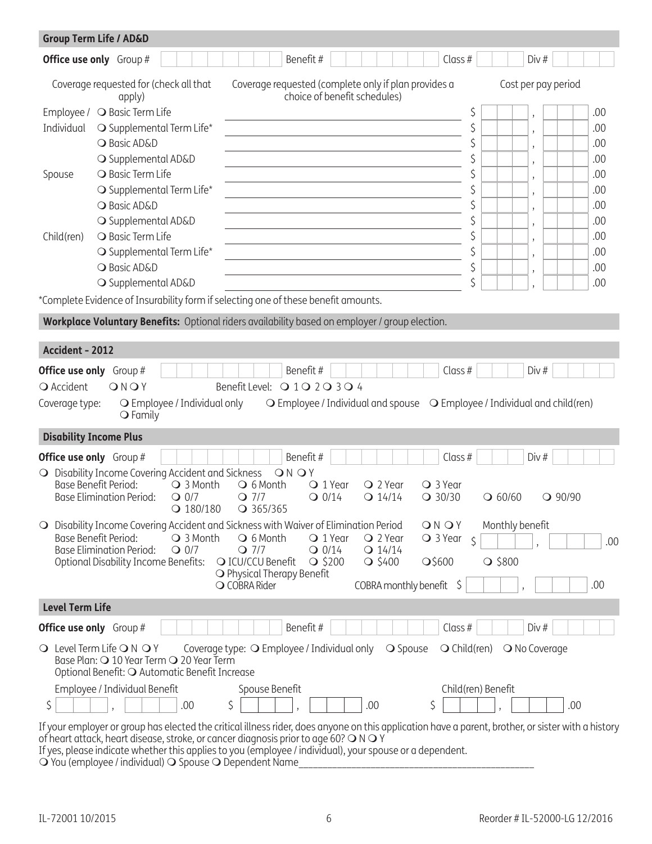|                                     | <b>Group Term Life / AD&amp;D</b>                                                                                                                                                                                                                                                                                                                                                                                                                          |                       |                                     |                     |     |
|-------------------------------------|------------------------------------------------------------------------------------------------------------------------------------------------------------------------------------------------------------------------------------------------------------------------------------------------------------------------------------------------------------------------------------------------------------------------------------------------------------|-----------------------|-------------------------------------|---------------------|-----|
|                                     | Benefit#<br><b>Office use only</b> Group #                                                                                                                                                                                                                                                                                                                                                                                                                 | Class #               | Div#                                |                     |     |
|                                     | Coverage requested for (check all that<br>Coverage requested (complete only if plan provides a<br>choice of benefit schedules)<br>apply)                                                                                                                                                                                                                                                                                                                   |                       |                                     | Cost per pay period |     |
|                                     | Employee / ○ Basic Term Life                                                                                                                                                                                                                                                                                                                                                                                                                               | \$                    | $\overline{\phantom{a}}$            |                     | .00 |
| Individual                          | O Supplemental Term Life*<br>the control of the control of the control of the control of the control of the control of                                                                                                                                                                                                                                                                                                                                     | \$                    |                                     |                     | .00 |
|                                     | O Basic AD&D<br>the control of the control of the control of the control of the control of the control of                                                                                                                                                                                                                                                                                                                                                  | \$                    | $\overline{\phantom{a}}$            |                     | .00 |
|                                     | O Supplemental AD&D                                                                                                                                                                                                                                                                                                                                                                                                                                        | \$                    | $\overline{\phantom{a}}$            |                     | .00 |
| Spouse                              | <b>O</b> Basic Term Life                                                                                                                                                                                                                                                                                                                                                                                                                                   | \$                    |                                     |                     | .00 |
|                                     | O Supplemental Term Life*                                                                                                                                                                                                                                                                                                                                                                                                                                  | \$                    |                                     |                     | .00 |
|                                     | O Basic AD&D                                                                                                                                                                                                                                                                                                                                                                                                                                               | \$                    | $\overline{\phantom{a}}$            |                     | .00 |
|                                     | O Supplemental AD&D                                                                                                                                                                                                                                                                                                                                                                                                                                        | \$                    | $\overline{\phantom{a}}$            |                     | .00 |
| Child(ren)                          | <b>O</b> Basic Term Life                                                                                                                                                                                                                                                                                                                                                                                                                                   | \$                    |                                     |                     | .00 |
|                                     | O Supplemental Term Life*                                                                                                                                                                                                                                                                                                                                                                                                                                  | \$                    | $\overline{\phantom{a}}$            |                     | .00 |
|                                     | O Basic AD&D                                                                                                                                                                                                                                                                                                                                                                                                                                               | \$                    | $\cdot$                             |                     | .00 |
|                                     | the control of the control of the control of the control of the control of the control of<br>O Supplemental AD&D                                                                                                                                                                                                                                                                                                                                           | \$                    |                                     |                     | .00 |
|                                     | *Complete Evidence of Insurability form if selecting one of these benefit amounts.                                                                                                                                                                                                                                                                                                                                                                         |                       |                                     |                     |     |
|                                     | Workplace Voluntary Benefits: Optional riders availability based on employer / group election.                                                                                                                                                                                                                                                                                                                                                             |                       |                                     |                     |     |
|                                     |                                                                                                                                                                                                                                                                                                                                                                                                                                                            |                       |                                     |                     |     |
| Accident - 2012                     |                                                                                                                                                                                                                                                                                                                                                                                                                                                            |                       |                                     |                     |     |
| <b>O</b> Accident<br>Coverage type: | Benefit#<br><b>Office use only</b> Group #<br>Benefit Level: Q 1 Q 2 Q 3 Q 4<br>ONOY<br>$\bigcirc$ Employee / Individual and spouse $\bigcirc$ Employee / Individual and child (ren)<br>O Employee / Individual only<br>$\bigcirc$ Family                                                                                                                                                                                                                  | Class $#$             | Div#                                |                     |     |
|                                     | <b>Disability Income Plus</b>                                                                                                                                                                                                                                                                                                                                                                                                                              |                       |                                     |                     |     |
|                                     | Benefit#<br><b>Office use only</b> Group #                                                                                                                                                                                                                                                                                                                                                                                                                 | Class $#$             | Div#                                |                     |     |
|                                     | O Disability Income Covering Accident and Sickness<br>ONOY<br>Base Benefit Period:<br>○ 3 Month<br>○ 6 Month<br>$Q$ 2 Year<br>○ 3 Year<br>$\bigcirc$ 1 Year<br><b>Base Elimination Period:</b><br>$Q$ 0/7<br>$Q$ 7/7<br>$Q$ 0/14<br>$Q$ 30/30<br>$Q$ 14/14<br>$Q$ 180/180<br>$Q$ 365/365                                                                                                                                                                   |                       | $Q$ 60/60                           | $Q$ 90/90           |     |
| $\circ$                             | Disability Income Covering Accident and Sickness with Waiver of Elimination Period<br>ONOY<br>Base Benefit Period:<br>○ 3 Month<br>○ 2 Year<br>$Q$ 3 Year $\zeta$<br>$\bigcirc$ 6 Month<br>$\bigcirc$ 1 Year<br><b>Base Elimination Period:</b><br>$Q$ 0/7<br>$Q$ 7/7<br>$Q$ 14/14<br>$Q$ 0/14<br><b>Optional Disability Income Benefits:</b><br>O ICU/CCU Benefit<br>$\bigcirc$ \$200<br>$\bigcirc$ \$400<br>$\Omega$ \$600<br>○ Physical Therapy Benefit |                       | Monthly benefit<br>$\bigcirc$ \$800 |                     | .00 |
|                                     | COBRA monthly benefit<br>O COBRA Rider                                                                                                                                                                                                                                                                                                                                                                                                                     | S,                    |                                     |                     | .00 |
| <b>Level Term Life</b>              |                                                                                                                                                                                                                                                                                                                                                                                                                                                            |                       |                                     |                     |     |
|                                     | Benefit#<br><b>Office use only</b> Group #                                                                                                                                                                                                                                                                                                                                                                                                                 | Class #               | Div#                                |                     |     |
|                                     | $\bigcirc$ Level Term Life $\bigcirc$ N $\bigcirc$ Y<br>Coverage type: O Employee / Individual only<br><b>O</b> Spouse<br>Base Plan: O 10 Year Term O 20 Year Term<br>Optional Benefit: O Automatic Benefit Increase                                                                                                                                                                                                                                       | $\bigcirc$ Child(ren) | O No Coverage                       |                     |     |
|                                     | Employee / Individual Benefit<br>Spouse Benefit                                                                                                                                                                                                                                                                                                                                                                                                            | Child(ren) Benefit    |                                     |                     |     |
| \$                                  | \$<br>\$<br>.00<br>.00                                                                                                                                                                                                                                                                                                                                                                                                                                     |                       |                                     | .00                 |     |
|                                     | If your employer or group has elected the critical illness rider, does anyone on this application have a parent, brother, or sister with a history<br>of heart attack, heart disease, stroke, or cancer diagnosis prior to age 60? O N O Y<br>If yes, please indicate whether this applies to you (employee / individual), your spouse or a dependent.                                                                                                     |                       |                                     |                     |     |

m You (employee / individual) m Spouse m Dependent Name\_\_\_\_\_\_\_\_\_\_\_\_\_\_\_\_\_\_\_\_\_\_\_\_\_\_\_\_\_\_\_\_\_\_\_\_\_\_\_\_\_\_\_\_\_\_\_\_\_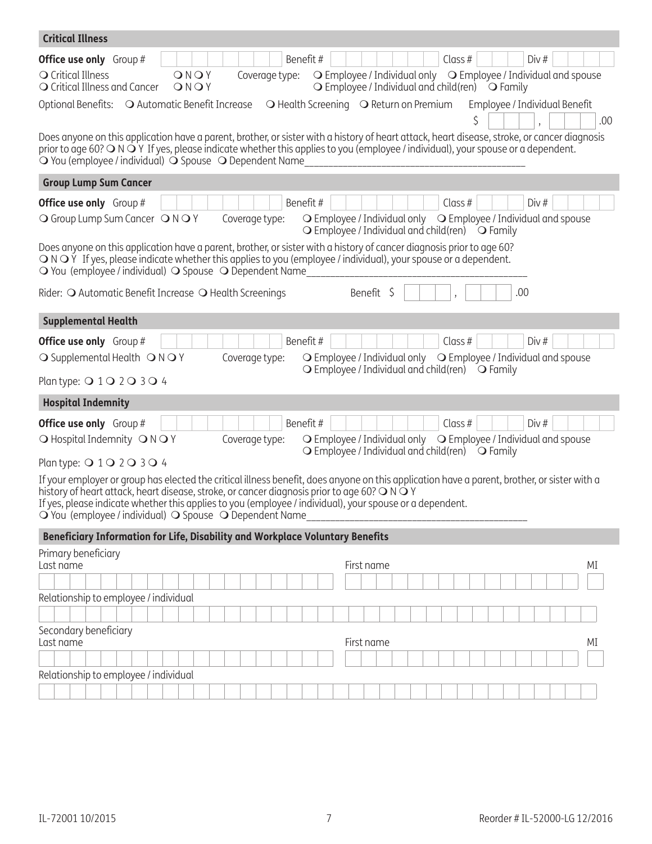| <b>Critical Illness</b>                                                                                                                                                                                                                                                                                                                                                                                             |
|---------------------------------------------------------------------------------------------------------------------------------------------------------------------------------------------------------------------------------------------------------------------------------------------------------------------------------------------------------------------------------------------------------------------|
| Benefit#<br>Div#<br>Class $#$<br><b>Office use only</b> Group #<br>○ Employee / Individual only ○ Employee / Individual and spouse<br>O Critical Illness<br>ONOY<br>Coverage type:<br>O Critical Illness and Cancer<br>$\bigcirc$ Employee / Individual and child(ren) $\bigcirc$ Family<br>ONOY                                                                                                                    |
| Optional Benefits: O Automatic Benefit Increase<br>$\bigcirc$ Health Screening $\bigcirc$ Return on Premium<br>Employee / Individual Benefit<br>ς<br>.00<br>Does anyone on this application have a parent, brother, or sister with a history of heart attack, heart disease, stroke, or cancer diagnosis                                                                                                            |
| prior to age 60? $\bigcirc$ N $\bigcirc$ Y If yes, please indicate whether this applies to you (employee / individual), your spouse or a dependent.<br>O You (employee / individual) O Spouse O Dependent Name                                                                                                                                                                                                      |
| <b>Group Lump Sum Cancer</b>                                                                                                                                                                                                                                                                                                                                                                                        |
| Benefit#<br>Div#<br><b>Office use only</b> Group #<br>Class $#$                                                                                                                                                                                                                                                                                                                                                     |
| Coverage type:<br>$\bigcirc$ Employee / Individual only $\bigcirc$ Employee / Individual and spouse<br>O Group Lump Sum Cancer O N O Y<br>$\bigcirc$ Employee / Individual and child(ren) $\bigcirc$ Family                                                                                                                                                                                                         |
| Does anyone on this application have a parent, brother, or sister with a history of cancer diagnosis prior to age 60?<br>$\bigcirc$ N $\bigcirc$ Y If yes, please indicate whether this applies to you (employee / individual), your spouse or a dependent.<br>O You (employee / individual) O Spouse O Dependent Name                                                                                              |
| Benefit \$<br>Rider: O Automatic Benefit Increase O Health Screenings<br>.00                                                                                                                                                                                                                                                                                                                                        |
| <b>Supplemental Health</b>                                                                                                                                                                                                                                                                                                                                                                                          |
| Benefit#<br><b>Office use only</b> Group #<br>Class #<br>Div#                                                                                                                                                                                                                                                                                                                                                       |
| O Employee / Individual only O Employee / Individual and spouse<br>O Supplemental Health ONOY<br>Coverage type:<br>$\bigcirc$ Employee / Individual and child(ren) $\bigcirc$ Family                                                                                                                                                                                                                                |
| Plan type: $Q$ 1 $Q$ 2 $Q$ 3 $Q$ 4                                                                                                                                                                                                                                                                                                                                                                                  |
| <b>Hospital Indemnity</b>                                                                                                                                                                                                                                                                                                                                                                                           |
| Benefit#<br>Div#<br>Class $#$<br><b>Office use only</b> Group #                                                                                                                                                                                                                                                                                                                                                     |
| O Employee / Individual only O Employee / Individual and spouse<br>O Hospital Indemnity ONOY<br>Coverage type:<br>$\bigcirc$ Employee / Individual and child(ren) $\bigcirc$ Family                                                                                                                                                                                                                                 |
| Plan type: 0 1 0 2 0 3 0 4                                                                                                                                                                                                                                                                                                                                                                                          |
| If your employer or group has elected the critical illness benefit, does anyone on this application have a parent, brother, or sister with a<br>history of heart attack, heart disease, stroke, or cancer diagnosis prior to age 60? O N O Y<br>If yes, please indicate whether this applies to you (employee / individual), your spouse or a dependent.<br>O You (employee / individual) O Spouse O Dependent Name |
| Beneficiary Information for Life, Disability and Workplace Voluntary Benefits                                                                                                                                                                                                                                                                                                                                       |
| Primary beneficiary<br>First name<br>MI                                                                                                                                                                                                                                                                                                                                                                             |
| Last name                                                                                                                                                                                                                                                                                                                                                                                                           |
| Relationship to employee / individual                                                                                                                                                                                                                                                                                                                                                                               |
|                                                                                                                                                                                                                                                                                                                                                                                                                     |
| Secondary beneficiary<br>First name<br>МI<br>Last name                                                                                                                                                                                                                                                                                                                                                              |
|                                                                                                                                                                                                                                                                                                                                                                                                                     |
| Relationship to employee / individual                                                                                                                                                                                                                                                                                                                                                                               |
|                                                                                                                                                                                                                                                                                                                                                                                                                     |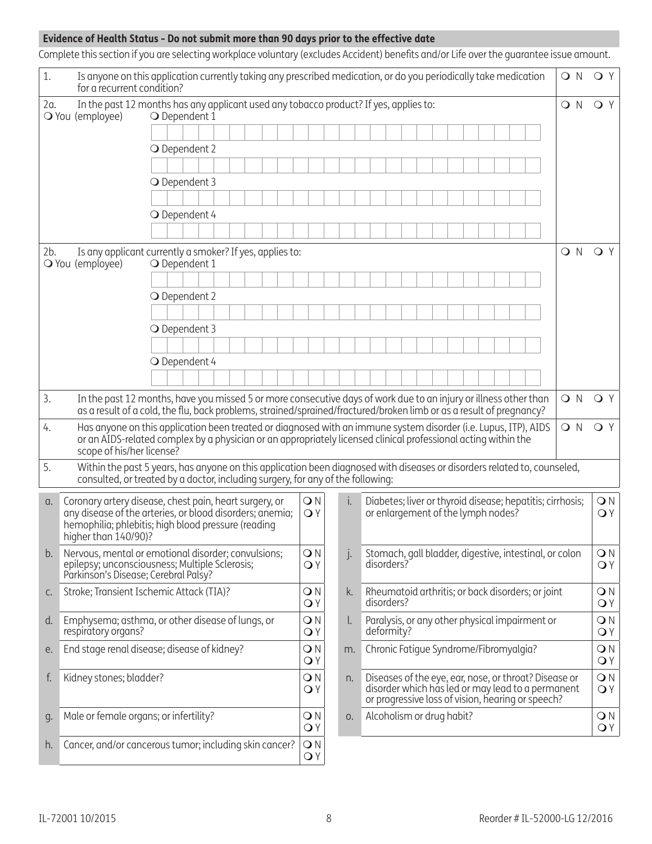## **Evidence of Health Status - Do not submit more than 90 days prior to the effective date**

Complete this section if you are selecting workplace voluntary (excludes Accident) benefits and/or Life over the guarantee issue amount.

| 1.  | Is anyone on this application currently taking any prescribed medication, or do you periodically take medication<br>for a recurrent condition?                                                                                          |               |  |  |  |                    |              |                                                                                                                                                                 |  |  |  |  |  |  | O N   | OY                 |                    |
|-----|-----------------------------------------------------------------------------------------------------------------------------------------------------------------------------------------------------------------------------------------|---------------|--|--|--|--------------------|--------------|-----------------------------------------------------------------------------------------------------------------------------------------------------------------|--|--|--|--|--|--|-------|--------------------|--------------------|
| 2a. | In the past 12 months has any applicant used any tobacco product? If yes, applies to:<br>O You (employee)                                                                                                                               | O Dependent 1 |  |  |  |                    |              |                                                                                                                                                                 |  |  |  |  |  |  | $Q$ N | QY                 |                    |
|     |                                                                                                                                                                                                                                         |               |  |  |  |                    |              |                                                                                                                                                                 |  |  |  |  |  |  |       |                    |                    |
|     |                                                                                                                                                                                                                                         | O Dependent 2 |  |  |  |                    |              |                                                                                                                                                                 |  |  |  |  |  |  |       |                    |                    |
|     |                                                                                                                                                                                                                                         |               |  |  |  |                    |              |                                                                                                                                                                 |  |  |  |  |  |  |       |                    |                    |
|     |                                                                                                                                                                                                                                         | O Dependent 3 |  |  |  |                    |              |                                                                                                                                                                 |  |  |  |  |  |  |       |                    |                    |
|     |                                                                                                                                                                                                                                         |               |  |  |  |                    |              |                                                                                                                                                                 |  |  |  |  |  |  |       |                    |                    |
|     |                                                                                                                                                                                                                                         | O Dependent 4 |  |  |  |                    |              |                                                                                                                                                                 |  |  |  |  |  |  |       |                    |                    |
|     |                                                                                                                                                                                                                                         |               |  |  |  |                    |              |                                                                                                                                                                 |  |  |  |  |  |  |       |                    |                    |
| 2b. | Is any applicant currently a smoker? If yes, applies to:<br>O You (employee)                                                                                                                                                            | O Dependent 1 |  |  |  |                    |              |                                                                                                                                                                 |  |  |  |  |  |  | Q N   | OY                 |                    |
|     |                                                                                                                                                                                                                                         |               |  |  |  |                    |              |                                                                                                                                                                 |  |  |  |  |  |  |       |                    |                    |
|     |                                                                                                                                                                                                                                         | O Dependent 2 |  |  |  |                    |              |                                                                                                                                                                 |  |  |  |  |  |  |       |                    |                    |
|     |                                                                                                                                                                                                                                         |               |  |  |  |                    |              |                                                                                                                                                                 |  |  |  |  |  |  |       |                    |                    |
|     |                                                                                                                                                                                                                                         | O Dependent 3 |  |  |  |                    |              |                                                                                                                                                                 |  |  |  |  |  |  |       |                    |                    |
|     |                                                                                                                                                                                                                                         |               |  |  |  |                    |              |                                                                                                                                                                 |  |  |  |  |  |  |       |                    |                    |
|     |                                                                                                                                                                                                                                         | O Dependent 4 |  |  |  |                    |              |                                                                                                                                                                 |  |  |  |  |  |  |       |                    |                    |
|     |                                                                                                                                                                                                                                         |               |  |  |  |                    |              |                                                                                                                                                                 |  |  |  |  |  |  |       |                    |                    |
| 3.  | In the past 12 months, have you missed 5 or more consecutive days of work due to an injury or illness other than<br>as a result of a cold, the flu, back problems, strained/sprained/fractured/broken limb or as a result of pregnancy? |               |  |  |  |                    |              |                                                                                                                                                                 |  |  |  |  |  |  | O N   | OY                 |                    |
| 4.  | Has anyone on this application been treated or diagnosed with an immune system disorder (i.e. Lupus, ITP), AIDS                                                                                                                         |               |  |  |  |                    |              |                                                                                                                                                                 |  |  |  |  |  |  | O N   | OY                 |                    |
|     | or an AIDS-related complex by a physician or an appropriately licensed clinical professional acting within the<br>scope of his/her license?                                                                                             |               |  |  |  |                    |              |                                                                                                                                                                 |  |  |  |  |  |  |       |                    |                    |
| 5.  | Within the past 5 years, has anyone on this application been diagnosed with diseases or disorders related to, counseled,<br>consulted, or treated by a doctor, including surgery, for any of the following:                             |               |  |  |  |                    |              |                                                                                                                                                                 |  |  |  |  |  |  |       |                    |                    |
| α.  | Coronary artery disease, chest pain, heart surgery, or                                                                                                                                                                                  |               |  |  |  | ON                 | i.           | Diabetes; liver or thyroid disease; hepatitis; cirrhosis;                                                                                                       |  |  |  |  |  |  |       | $\bigcirc$ N       |                    |
|     | any disease of the arteries, or blood disorders, anemia;<br>hemophilia; phlebitis; high blood pressure (reading<br>higher than 140/90)?                                                                                                 |               |  |  |  | OY                 |              | or enlargement of the lymph nodes?                                                                                                                              |  |  |  |  |  |  |       | OY                 |                    |
| b.  | Nervous, mental or emotional disorder; convulsions;<br>epilepsy; unconsciousness; Multiple Sclerosis;<br>Parkinson's Disease; Cerebral Palsy?                                                                                           |               |  |  |  | $\bigcirc N$<br>OY | $\cdot$      | Stomach, gall bladder, digestive, intestinal, or colon<br>disorders?                                                                                            |  |  |  |  |  |  |       |                    | $\bigcirc N$<br>OY |
| C.  | Stroke; Transient Ischemic Attack (TIA)?                                                                                                                                                                                                |               |  |  |  | $\bigcirc$ N<br>OY | k.           | Rheumatoid arthritis; or back disorders; or joint<br>disorders?                                                                                                 |  |  |  |  |  |  |       | ON                 | OY                 |
| d.  | Emphysema; asthma, or other disease of lungs, or<br>respiratory organs?                                                                                                                                                                 |               |  |  |  | ON<br>OY           | $\mathsf{L}$ | Paralysis, or any other physical impairment or<br>deformity?                                                                                                    |  |  |  |  |  |  |       | ON<br>OY           |                    |
| е.  | End stage renal disease; disease of kidney?                                                                                                                                                                                             |               |  |  |  | $\bigcirc$ N<br>OY | m.           | Chronic Fatigue Syndrome/Fibromyalgia?                                                                                                                          |  |  |  |  |  |  |       | ON<br>OY           |                    |
| f.  | Kidney stones; bladder?                                                                                                                                                                                                                 |               |  |  |  | ON<br>OY           | n.           | Diseases of the eye, ear, nose, or throat? Disease or<br>disorder which has led or may lead to a permanent<br>or progressive loss of vision, hearing or speech? |  |  |  |  |  |  |       | $\bigcirc N$<br>OY |                    |
| g.  | Male or female organs; or infertility?                                                                                                                                                                                                  |               |  |  |  | ON<br>OY           | 0.           | Alcoholism or drug habit?                                                                                                                                       |  |  |  |  |  |  |       | ON                 | QY                 |
| h.  | Cancer, and/or cancerous tumor; including skin cancer?                                                                                                                                                                                  |               |  |  |  | QN<br>OY           |              |                                                                                                                                                                 |  |  |  |  |  |  |       |                    |                    |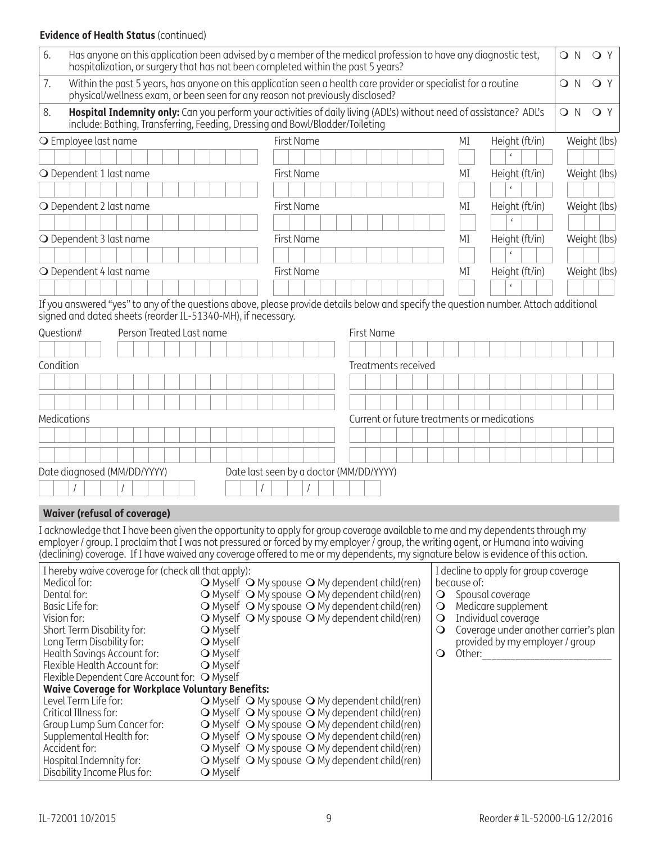## **Evidence of Health Status** (continued)

| 6.        | Has anyone on this application been advised by a member of the medical profession to have any diagnostic test,<br>hospitalization, or surgery that has not been completed within the past 5 years?                                                                      |  |  |                          |  |  |  |  |                 |  |  |  |            |              |                                                                                                                                                                                                                                  |  |                     |                                                               |    |                                         |                |                                                              | O N | OY                                    |
|-----------|-------------------------------------------------------------------------------------------------------------------------------------------------------------------------------------------------------------------------------------------------------------------------|--|--|--------------------------|--|--|--|--|-----------------|--|--|--|------------|--------------|----------------------------------------------------------------------------------------------------------------------------------------------------------------------------------------------------------------------------------|--|---------------------|---------------------------------------------------------------|----|-----------------------------------------|----------------|--------------------------------------------------------------|-----|---------------------------------------|
| 7.        | Within the past 5 years, has anyone on this application seen a health care provider or specialist for a routine<br>physical/wellness exam, or been seen for any reason not previously disclosed?                                                                        |  |  |                          |  |  |  |  |                 |  |  |  |            |              |                                                                                                                                                                                                                                  |  |                     |                                                               |    |                                         |                |                                                              | O N | QY                                    |
| 8.        | Hospital Indemnity only: Can you perform your activities of daily living (ADL's) without need of assistance? ADL's<br>include: Bathing, Transferring, Feeding, Dressing and Bowl/Bladder/Toileting                                                                      |  |  |                          |  |  |  |  |                 |  |  |  |            |              |                                                                                                                                                                                                                                  |  |                     |                                                               |    |                                         |                |                                                              | ON  | QY                                    |
|           | O Employee last name                                                                                                                                                                                                                                                    |  |  |                          |  |  |  |  |                 |  |  |  | First Name |              |                                                                                                                                                                                                                                  |  |                     |                                                               | ΜI |                                         | Height (ft/in) |                                                              |     | Weight (lbs)                          |
|           |                                                                                                                                                                                                                                                                         |  |  |                          |  |  |  |  |                 |  |  |  |            |              |                                                                                                                                                                                                                                  |  |                     |                                                               |    |                                         |                |                                                              |     |                                       |
|           | O Dependent 1 last name                                                                                                                                                                                                                                                 |  |  |                          |  |  |  |  |                 |  |  |  | First Name |              |                                                                                                                                                                                                                                  |  |                     |                                                               | ΜI |                                         | Height (ft/in) |                                                              |     | Weight (lbs)                          |
|           |                                                                                                                                                                                                                                                                         |  |  |                          |  |  |  |  |                 |  |  |  |            |              |                                                                                                                                                                                                                                  |  |                     |                                                               |    |                                         |                |                                                              |     |                                       |
|           | O Dependent 2 last name                                                                                                                                                                                                                                                 |  |  |                          |  |  |  |  |                 |  |  |  | First Name |              |                                                                                                                                                                                                                                  |  |                     |                                                               | ΜI |                                         | Height (ft/in) |                                                              |     | Weight (lbs)                          |
|           |                                                                                                                                                                                                                                                                         |  |  |                          |  |  |  |  |                 |  |  |  |            |              |                                                                                                                                                                                                                                  |  |                     |                                                               |    |                                         | $\epsilon$     |                                                              |     |                                       |
|           | O Dependent 3 last name<br>First Name<br>Height (ft/in)<br>ΜI                                                                                                                                                                                                           |  |  |                          |  |  |  |  |                 |  |  |  |            | Weight (lbs) |                                                                                                                                                                                                                                  |  |                     |                                                               |    |                                         |                |                                                              |     |                                       |
|           |                                                                                                                                                                                                                                                                         |  |  |                          |  |  |  |  |                 |  |  |  |            |              |                                                                                                                                                                                                                                  |  |                     |                                                               |    |                                         | $\epsilon$     |                                                              |     |                                       |
|           | O Dependent 4 last name                                                                                                                                                                                                                                                 |  |  |                          |  |  |  |  |                 |  |  |  | First Name |              |                                                                                                                                                                                                                                  |  |                     |                                                               | MI |                                         | Height (ft/in) |                                                              |     | Weight (lbs)                          |
|           |                                                                                                                                                                                                                                                                         |  |  |                          |  |  |  |  |                 |  |  |  |            |              |                                                                                                                                                                                                                                  |  |                     |                                                               |    |                                         | $\epsilon$     |                                                              |     |                                       |
| Condition | If you answered "yes" to any of the questions above, please provide details below and specify the question number. Attach additional<br>signed and dated sheets (reorder IL-51340-MH), if necessary.<br>Question#                                                       |  |  | Person Treated Last name |  |  |  |  |                 |  |  |  |            |              | First Name                                                                                                                                                                                                                       |  | Treatments received |                                                               |    |                                         |                |                                                              |     |                                       |
|           |                                                                                                                                                                                                                                                                         |  |  |                          |  |  |  |  |                 |  |  |  |            |              |                                                                                                                                                                                                                                  |  |                     |                                                               |    |                                         |                |                                                              |     |                                       |
|           |                                                                                                                                                                                                                                                                         |  |  |                          |  |  |  |  |                 |  |  |  |            |              |                                                                                                                                                                                                                                  |  |                     |                                                               |    |                                         |                |                                                              |     |                                       |
|           | Medications                                                                                                                                                                                                                                                             |  |  |                          |  |  |  |  |                 |  |  |  |            |              |                                                                                                                                                                                                                                  |  |                     | Current or future treatments or medications                   |    |                                         |                |                                                              |     |                                       |
|           |                                                                                                                                                                                                                                                                         |  |  |                          |  |  |  |  |                 |  |  |  |            |              |                                                                                                                                                                                                                                  |  |                     |                                                               |    |                                         |                |                                                              |     |                                       |
|           |                                                                                                                                                                                                                                                                         |  |  |                          |  |  |  |  |                 |  |  |  |            |              |                                                                                                                                                                                                                                  |  |                     |                                                               |    |                                         |                |                                                              |     |                                       |
|           |                                                                                                                                                                                                                                                                         |  |  |                          |  |  |  |  |                 |  |  |  |            |              |                                                                                                                                                                                                                                  |  |                     |                                                               |    |                                         |                |                                                              |     |                                       |
|           | Date diagnosed (MM/DD/YYYY)                                                                                                                                                                                                                                             |  |  |                          |  |  |  |  |                 |  |  |  |            |              | Date last seen by a doctor (MM/DD/YYYY)                                                                                                                                                                                          |  |                     |                                                               |    |                                         |                |                                                              |     |                                       |
|           |                                                                                                                                                                                                                                                                         |  |  |                          |  |  |  |  |                 |  |  |  |            |              |                                                                                                                                                                                                                                  |  |                     |                                                               |    |                                         |                |                                                              |     |                                       |
|           | <b>Waiver (refusal of coverage)</b>                                                                                                                                                                                                                                     |  |  |                          |  |  |  |  |                 |  |  |  |            |              |                                                                                                                                                                                                                                  |  |                     |                                                               |    |                                         |                |                                                              |     |                                       |
|           | I acknowledge that I have been given the opportunity to apply for group coverage available to me and my dependents through my                                                                                                                                           |  |  |                          |  |  |  |  |                 |  |  |  |            |              |                                                                                                                                                                                                                                  |  |                     |                                                               |    |                                         |                |                                                              |     |                                       |
|           | employer / group. I proclaim that I was not pressured or forced by my employer / group, the writing agent, or Humana into waiving<br>(declining) coverage. If I have waived any coverage offered to me or my dependents, my signature below is evidence of this action. |  |  |                          |  |  |  |  |                 |  |  |  |            |              |                                                                                                                                                                                                                                  |  |                     |                                                               |    |                                         |                |                                                              |     |                                       |
|           | I hereby waive coverage for (check all that apply):<br>Medical for:<br>Dental for:<br>Basic Life for:<br>Vision for:<br>Short Term Disability for:                                                                                                                      |  |  |                          |  |  |  |  | <b>O</b> Myself |  |  |  |            |              | $\bigcirc$ Myself $\bigcirc$ My spouse $\bigcirc$ My dependent child(ren)<br>O Myself O My spouse O My dependent child (ren)<br>O Myself O My spouse O My dependent child(ren)<br>O Myself O My spouse O My dependent child(ren) |  |                     | because of:<br>$\bigcirc$<br>$\circ$<br>$\bigcirc$<br>$\circ$ |    | Spousal coverage<br>Individual coverage |                | I decline to apply for group coverage<br>Medicare supplement |     | Coverage under another carrier's plan |

| O | .<br>Coverage under another carrier's plan |
|---|--------------------------------------------|
|   | provided by my employer / group            |

 $\bigcirc$  Other:

| Flexible Dependent Care Account for: O Myself           |
|---------------------------------------------------------|
| <b>Waive Coverage for Workplace Voluntary Benefits:</b> |

Long Term Disability for: m Myself Health Savings Account for: m Myself Flexible Health Account for:  $\qquad \qquad \textsf{O}$  Myself

| waive coverage for workplace voluntary Benefits: |                                                                           |  |
|--------------------------------------------------|---------------------------------------------------------------------------|--|
| Level Term Life for:                             | $\bigcirc$ Myself $\bigcirc$ My spouse $\bigcirc$ My dependent child(ren) |  |
| Critical Illness for:                            | $\bigcirc$ Myself $\bigcirc$ My spouse $\bigcirc$ My dependent child(ren) |  |
| Group Lump Sum Cancer for:                       | $\bigcirc$ Myself $\bigcirc$ My spouse $\bigcirc$ My dependent child(ren) |  |
| Supplemental Health for:                         | $\bigcirc$ Myself $\bigcirc$ My spouse $\bigcirc$ My dependent child(ren) |  |
| Accident for:                                    | $\bigcirc$ Myself $\bigcirc$ My spouse $\bigcirc$ My dependent child(ren) |  |
| Hospital Indemnity for:                          | $\bigcirc$ Myself $\bigcirc$ My spouse $\bigcirc$ My dependent child(ren) |  |
| Disability Income Plus for:                      | <b>○</b> Myself                                                           |  |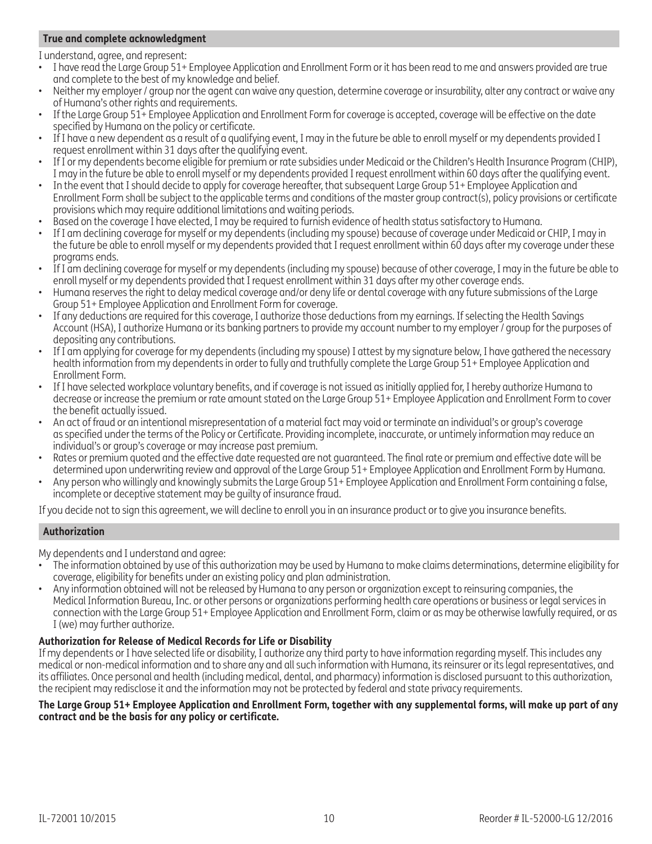## **True and complete acknowledgment**

I understand, agree, and represent:

- I have read the Large Group 51+ Employee Application and Enrollment Form or it has been read to me and answers provided are true and complete to the best of my knowledge and belief.
- Neither my employer / group nor the agent can waive any question, determine coverage or insurability, alter any contract or waive any of Humana's other rights and requirements.
- If the Large Group 51+ Employee Application and Enrollment Form for coverage is accepted, coverage will be effective on the date specified by Humana on the policy or certificate.
- If I have a new dependent as a result of a qualifying event, I may in the future be able to enroll myself or my dependents provided I request enrollment within 31 days after the qualifying event.
- If I or my dependents become eligible for premium or rate subsidies under Medicaid or the Children's Health Insurance Program (CHIP), I may in the future be able to enroll myself or my dependents provided I request enrollment within 60 days after the qualifying event.
- In the event that I should decide to apply for coverage hereafter, that subsequent Large Group 51+ Employee Application and Enrollment Form shall be subject to the applicable terms and conditions of the master group contract(s), policy provisions or certificate provisions which may require additional limitations and waiting periods.
- Based on the coverage I have elected, I may be required to furnish evidence of health status satisfactory to Humana.
- If I am declining coverage for myself or my dependents (including my spouse) because of coverage under Medicaid or CHIP, I may in the future be able to enroll myself or my dependents provided that I request enrollment within 60 days after my coverage under these programs ends.
- If I am declining coverage for myself or my dependents (including my spouse) because of other coverage, I may in the future be able to enroll myself or my dependents provided that I request enrollment within 31 days after my other coverage ends.
- Humana reserves the right to delay medical coverage and/or deny life or dental coverage with any future submissions of the Large Group 51+ Employee Application and Enrollment Form for coverage.
- If any deductions are required for this coverage, I authorize those deductions from my earnings. If selecting the Health Savings Account (HSA), I authorize Humana or its banking partners to provide my account number to my employer / group for the purposes of depositing any contributions.
- If I am applying for coverage for my dependents (including my spouse) I attest by my signature below, I have gathered the necessary health information from my dependents in order to fully and truthfully complete the Large Group 51+ Employee Application and Enrollment Form.
- If I have selected workplace voluntary benefits, and if coverage is not issued as initially applied for, I hereby authorize Humana to decrease or increase the premium or rate amount stated on the Large Group 51+ Employee Application and Enrollment Form to cover the benefit actually issued.
- An act of fraud or an intentional misrepresentation of a material fact may void or terminate an individual's or group's coverage as specified under the terms of the Policy or Certificate. Providing incomplete, inaccurate, or untimely information may reduce an individual's or group's coverage or may increase past premium.
- Rates or premium quoted and the effective date requested are not guaranteed. The final rate or premium and effective date will be determined upon underwriting review and approval of the Large Group 51+ Employee Application and Enrollment Form by Humana.
- Any person who willingly and knowingly submits the Large Group 51+ Employee Application and Enrollment Form containing a false, incomplete or deceptive statement may be guilty of insurance fraud.

If you decide not to sign this agreement, we will decline to enroll you in an insurance product or to give you insurance benefits.

#### **Authorization**

My dependents and I understand and agree:

- The information obtained by use of this authorization may be used by Humana to make claims determinations, determine eligibility for coverage, eligibility for benefits under an existing policy and plan administration.
- Any information obtained will not be released by Humana to any person or organization except to reinsuring companies, the Medical Information Bureau, Inc. or other persons or organizations performing health care operations or business or legal services in connection with the Large Group 51+ Employee Application and Enrollment Form, claim or as may be otherwise lawfully required, or as I (we) may further authorize.

#### **Authorization for Release of Medical Records for Life or Disability**

If my dependents or I have selected life or disability, I authorize any third party to have information regarding myself. This includes any medical or non-medical information and to share any and all such information with Humana, its reinsurer or its legal representatives, and its affiliates. Once personal and health (including medical, dental, and pharmacy) information is disclosed pursuant to this authorization, the recipient may redisclose it and the information may not be protected by federal and state privacy requirements.

#### **The Large Group 51+ Employee Application and Enrollment Form, together with any supplemental forms, will make up part of any contract and be the basis for any policy or certificate.**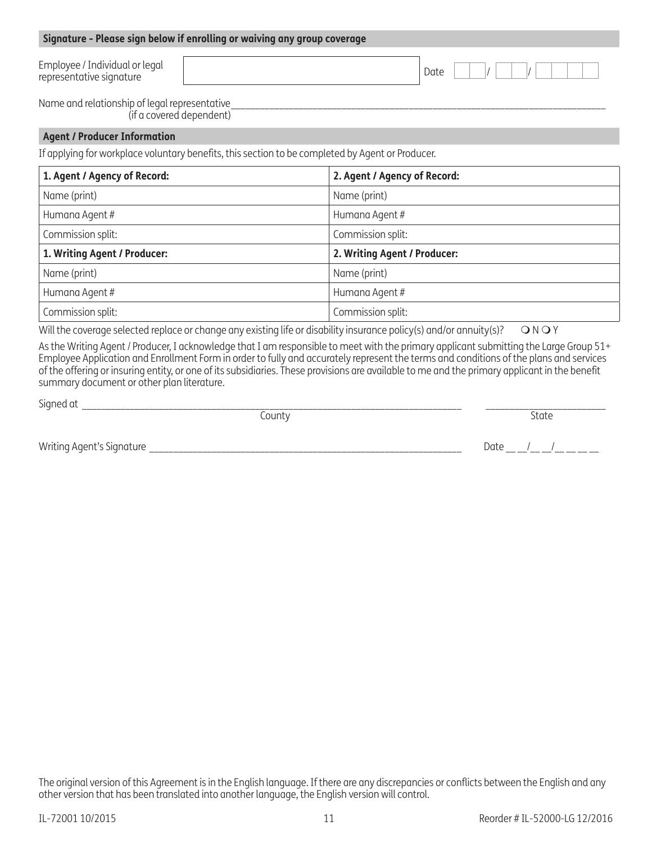| Employee / Individual or legal<br>representative signature                                                                  | Date                         |  |  |  |  |
|-----------------------------------------------------------------------------------------------------------------------------|------------------------------|--|--|--|--|
| Name and relationship of legal representative<br>(if a covered dependent)                                                   |                              |  |  |  |  |
| <b>Agent / Producer Information</b>                                                                                         |                              |  |  |  |  |
| If applying for workplace voluntary benefits, this section to be completed by Agent or Producer.                            |                              |  |  |  |  |
| 1. Agent / Agency of Record:                                                                                                | 2. Agent / Agency of Record: |  |  |  |  |
| Name (print)                                                                                                                | Name (print)                 |  |  |  |  |
| Humana Agent #                                                                                                              | Humana Agent #               |  |  |  |  |
| Commission split:                                                                                                           | Commission split:            |  |  |  |  |
| 1. Writing Agent / Producer:                                                                                                | 2. Writing Agent / Producer: |  |  |  |  |
| Name (print)                                                                                                                | Name (print)                 |  |  |  |  |
| Humana Agent #                                                                                                              | Humana Agent #               |  |  |  |  |
| Commission split:                                                                                                           | Commission split:            |  |  |  |  |
| Will the coverage selected replace or change any existing life or disability insurance policy(s) and/or annuity(s)?<br>ONOY |                              |  |  |  |  |

As the Writing Agent / Producer, I acknowledge that I am responsible to meet with the primary applicant submitting the Large Group 51+ Employee Application and Enrollment Form in order to fully and accurately represent the terms and conditions of the plans and services of the offering or insuring entity, or one of its subsidiaries. These provisions are available to me and the primary applicant in the benefit summary document or other plan literature.

Signed at \_\_\_\_\_\_\_\_\_\_\_\_\_\_\_\_\_\_\_\_\_\_\_\_\_\_\_\_\_\_\_\_\_\_\_\_\_\_\_\_\_\_\_\_\_\_\_\_\_\_\_\_\_\_\_\_\_\_\_\_\_\_\_\_\_\_\_\_\_\_\_\_\_\_\_\_\_\_\_ \_\_\_\_\_\_\_\_\_\_\_\_\_\_\_\_\_\_\_\_\_\_\_\_\_

County **State** 

**Signature - Please sign below if enrolling or waiving any group coverage**

Writing Agent's Signature \_\_\_\_\_\_\_\_\_\_\_\_\_\_\_\_\_\_\_\_\_\_\_\_\_\_\_\_\_\_\_\_\_\_\_\_\_\_\_\_\_\_\_\_\_\_\_\_\_\_\_\_\_\_\_\_\_\_\_\_\_\_\_\_\_ Date \_\_ \_\_/\_\_ \_\_/\_\_ \_\_ \_\_ \_\_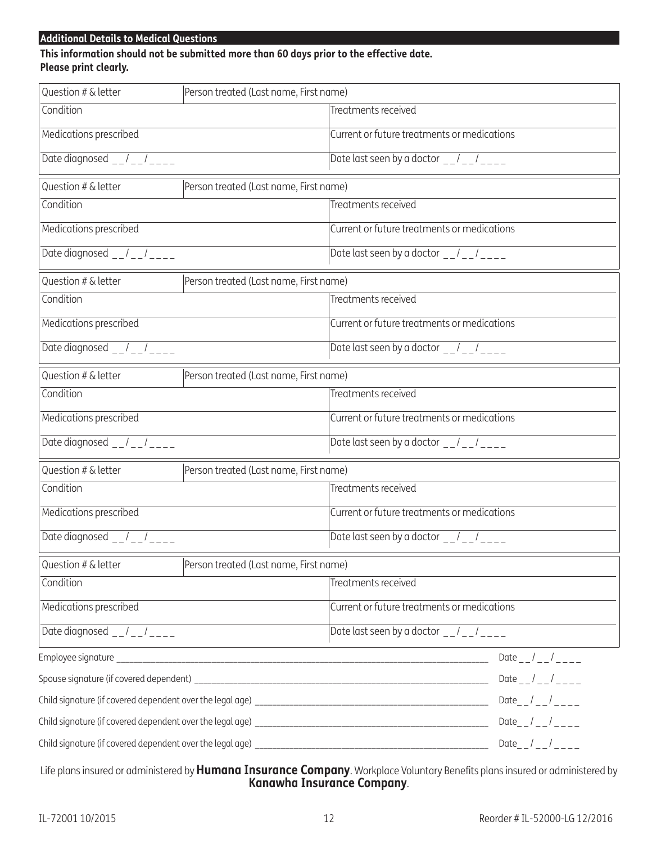## **Additional Details to Medical Questions**

## **This information should not be submitted more than 60 days prior to the effective date. Please print clearly.**

| Question # & letter                                                                                | Person treated (Last name, First name) |                                                                                                                                                                                                                                                                |                           |  |
|----------------------------------------------------------------------------------------------------|----------------------------------------|----------------------------------------------------------------------------------------------------------------------------------------------------------------------------------------------------------------------------------------------------------------|---------------------------|--|
| Condition                                                                                          |                                        | Treatments received                                                                                                                                                                                                                                            |                           |  |
| Medications prescribed                                                                             |                                        | Current or future treatments or medications                                                                                                                                                                                                                    |                           |  |
| Date diagnosed $-$ / $-$ / $-$ - $-$                                                               |                                        | Date last seen by a doctor $-$ / $-$ / $-$ - $-$                                                                                                                                                                                                               |                           |  |
| Question # & letter                                                                                | Person treated (Last name, First name) |                                                                                                                                                                                                                                                                |                           |  |
| Condition                                                                                          |                                        | Treatments received                                                                                                                                                                                                                                            |                           |  |
| Medications prescribed                                                                             |                                        | Current or future treatments or medications                                                                                                                                                                                                                    |                           |  |
| Date diagnosed $-1$ - $-1$ ----                                                                    |                                        | Date last seen by a doctor $-1$ - $-1$                                                                                                                                                                                                                         |                           |  |
| Question # & letter                                                                                | Person treated (Last name, First name) |                                                                                                                                                                                                                                                                |                           |  |
| Condition                                                                                          |                                        | Treatments received                                                                                                                                                                                                                                            |                           |  |
| Medications prescribed                                                                             |                                        | Current or future treatments or medications                                                                                                                                                                                                                    |                           |  |
| Date diagnosed $-/-$                                                                               |                                        | Date last seen by a doctor $-1$ , $-1$ , $-1$ , $-1$ , $-1$ , $-1$ , $-1$ , $-1$ , $-1$ , $-1$ , $-1$ , $-1$ , $-1$ , $-1$ , $-1$ , $-1$ , $-1$ , $-1$ , $-1$ , $-1$ , $-1$ , $-1$ , $-1$ , $-1$ , $-1$ , $-1$ , $-1$ , $-1$ , $-1$ , $-1$ , $-1$ , $-1$ , $-$ |                           |  |
| Question # & letter                                                                                | Person treated (Last name, First name) |                                                                                                                                                                                                                                                                |                           |  |
| Condition                                                                                          |                                        | Treatments received                                                                                                                                                                                                                                            |                           |  |
| Medications prescribed                                                                             |                                        | Current or future treatments or medications                                                                                                                                                                                                                    |                           |  |
| Date diagnosed $-$ / $-$ / $-$ - - - -                                                             |                                        | Date last seen by a doctor $\frac{1}{2}$ $\frac{1}{2}$ $\frac{1}{2}$ $\frac{1}{2}$ $\frac{1}{2}$                                                                                                                                                               |                           |  |
| Question # & letter                                                                                | Person treated (Last name, First name) |                                                                                                                                                                                                                                                                |                           |  |
| Condition                                                                                          |                                        | Treatments received                                                                                                                                                                                                                                            |                           |  |
| Medications prescribed                                                                             |                                        | Current or future treatments or medications                                                                                                                                                                                                                    |                           |  |
| Date diagnosed $-/-$                                                                               |                                        | Date last seen by a doctor $\frac{1}{2}$ / $\frac{1}{2}$                                                                                                                                                                                                       |                           |  |
| Question # & letter                                                                                | Person treated (Last name, First name) |                                                                                                                                                                                                                                                                |                           |  |
| Condition                                                                                          |                                        | Treatments received                                                                                                                                                                                                                                            |                           |  |
| Medications prescribed                                                                             |                                        | Current or future treatments or medications                                                                                                                                                                                                                    |                           |  |
| Date diagnosed $\frac{1}{2}$ $\frac{1}{2}$ $\frac{1}{2}$ $\frac{1}{2}$ $\frac{1}{2}$ $\frac{1}{2}$ |                                        | Date last seen by a doctor $-1$ - $1$                                                                                                                                                                                                                          |                           |  |
| the control of the control of the control of the control of the control of the control of          |                                        |                                                                                                                                                                                                                                                                | Date $_{--}/_{--}/_{---}$ |  |
|                                                                                                    |                                        | Date $_{--}/_{--}/_{---}$                                                                                                                                                                                                                                      |                           |  |
|                                                                                                    |                                        | Date__/__/___                                                                                                                                                                                                                                                  |                           |  |
|                                                                                                    |                                        | Date_ $/$ _ $/$ _ _ _ _ _                                                                                                                                                                                                                                      |                           |  |
|                                                                                                    |                                        |                                                                                                                                                                                                                                                                | Date $_{-}/_{--}/_{---}$  |  |

Life plans insured or administered by **Humana Insurance Company**. Workplace Voluntary Benefits plans insured or administered by **Kanawha Insurance Company**.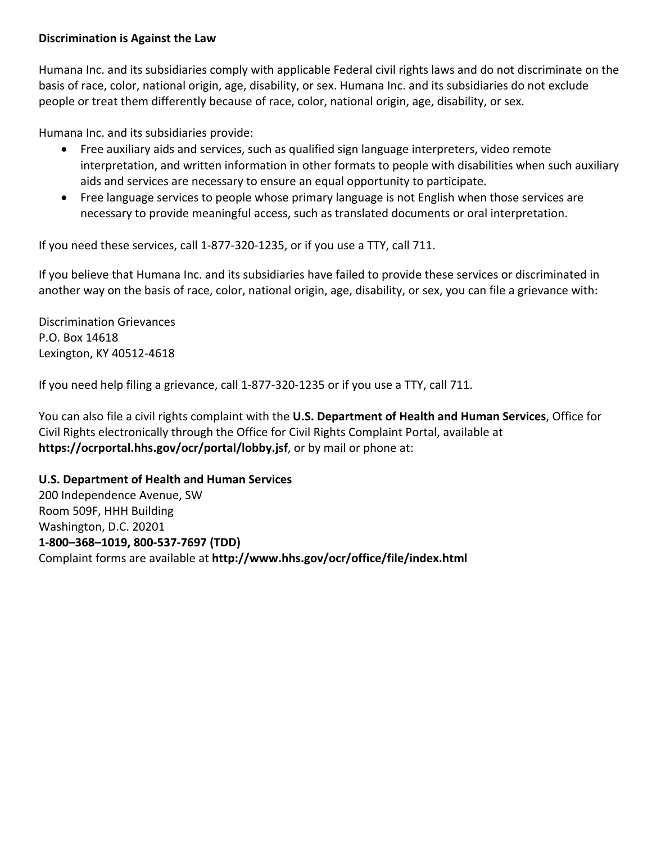## **Discrimination is Against the Law**

Humana Inc. and its subsidiaries comply with applicable Federal civil rights laws and do not discriminate on the basis of race, color, national origin, age, disability, or sex. Humana Inc. and its subsidiaries do not exclude people or treat them differently because of race, color, national origin, age, disability, or sex.

Humana Inc. and its subsidiaries provide:

- Free auxiliary aids and services, such as qualified sign language interpreters, video remote interpretation, and written information in other formats to people with disabilities when such auxiliary aids and services are necessary to ensure an equal opportunity to participate.
- Free language services to people whose primary language is not English when those services are necessary to provide meaningful access, such as translated documents or oral interpretation.

If you need these services, call 1‐877‐320‐1235, or if you use a TTY, call 711.

If you believe that Humana Inc. and its subsidiaries have failed to provide these services or discriminated in another way on the basis of race, color, national origin, age, disability, or sex, you can file a grievance with:

Discrimination Grievances P.O. Box 14618 Lexington, KY 40512‐4618

If you need help filing a grievance, call 1‐877‐320‐1235 or if you use a TTY, call 711.

You can also file a civil rights complaint with the **U.S. Department of Health and Human Services**, Office for Civil Rights electronically through the Office for Civil Rights Complaint Portal, available at **https://ocrportal.hhs.gov/ocr/portal/lobby.jsf**, or by mail or phone at:

## **U.S. Department of Health and Human Services**

200 Independence Avenue, SW Room 509F, HHH Building Washington, D.C. 20201 **1‐800–368–1019, 800‐537‐7697 (TDD)**  Complaint forms are available at **http://www.hhs.gov/ocr/office/file/index.html**